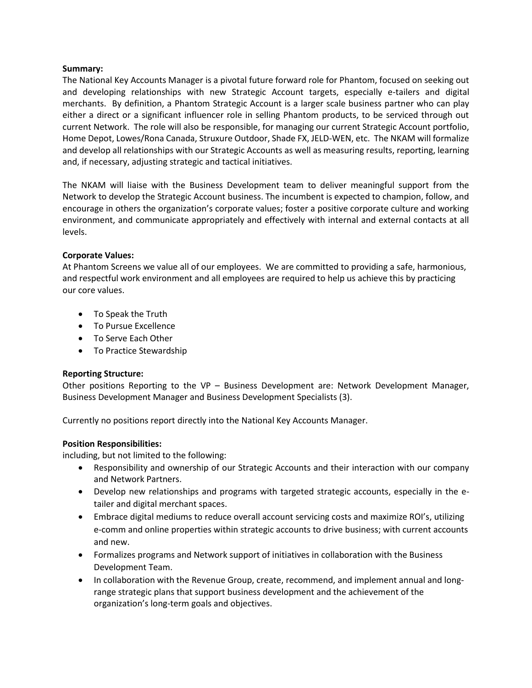### **Summary:**

The National Key Accounts Manager is a pivotal future forward role for Phantom, focused on seeking out and developing relationships with new Strategic Account targets, especially e-tailers and digital merchants. By definition, a Phantom Strategic Account is a larger scale business partner who can play either a direct or a significant influencer role in selling Phantom products, to be serviced through out current Network. The role will also be responsible, for managing our current Strategic Account portfolio, Home Depot, Lowes/Rona Canada, Struxure Outdoor, Shade FX, JELD-WEN, etc. The NKAM will formalize and develop all relationships with our Strategic Accounts as well as measuring results, reporting, learning and, if necessary, adjusting strategic and tactical initiatives.

The NKAM will liaise with the Business Development team to deliver meaningful support from the Network to develop the Strategic Account business. The incumbent is expected to champion, follow, and encourage in others the organization's corporate values; foster a positive corporate culture and working environment, and communicate appropriately and effectively with internal and external contacts at all levels.

## **Corporate Values:**

At Phantom Screens we value all of our employees. We are committed to providing a safe, harmonious, and respectful work environment and all employees are required to help us achieve this by practicing our core values.

- To Speak the Truth
- To Pursue Excellence
- To Serve Each Other
- To Practice Stewardship

## **Reporting Structure:**

Other positions Reporting to the VP – Business Development are: Network Development Manager, Business Development Manager and Business Development Specialists (3).

Currently no positions report directly into the National Key Accounts Manager.

## **Position Responsibilities:**

including, but not limited to the following:

- Responsibility and ownership of our Strategic Accounts and their interaction with our company and Network Partners.
- Develop new relationships and programs with targeted strategic accounts, especially in the etailer and digital merchant spaces.
- Embrace digital mediums to reduce overall account servicing costs and maximize ROI's, utilizing e-comm and online properties within strategic accounts to drive business; with current accounts and new.
- Formalizes programs and Network support of initiatives in collaboration with the Business Development Team.
- In collaboration with the Revenue Group, create, recommend, and implement annual and longrange strategic plans that support business development and the achievement of the organization's long-term goals and objectives.